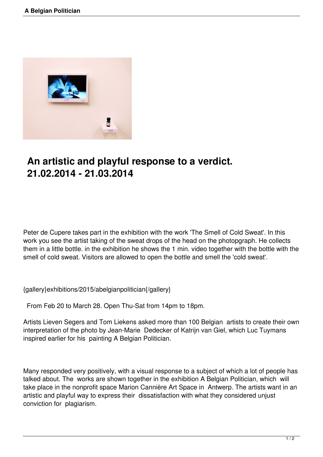

## **An artistic and playful response to a verdict. 21.02.2014 - 21.03.2014**

Peter de Cupere takes part in the exhibition with the work 'The Smell of Cold Sweat'. In this work you see the artist taking of the sweat drops of the head on the photopgraph. He collects them in a little bottle. in the exhibition he shows the 1 min. video together with the bottle with the smell of cold sweat. Visitors are allowed to open the bottle and smell the 'cold sweat'.

{gallery}exhibitions/2015/abelgianpolitician{/gallery}

From Feb 20 to March 28. Open Thu-Sat from 14pm to 18pm.

Artists Lieven Segers and Tom Liekens asked more than 100 Belgian artists to create their own interpretation of the photo by Jean-Marie Dedecker of Katrijn van Giel, which Luc Tuymans inspired earlier for his painting A Belgian Politician.

Many responded very positively, with a visual response to a subject of which a lot of people has talked about. The works are shown together in the exhibition A Belgian Politician, which will take place in the nonprofit space Marion Cannière Art Space in Antwerp. The artists want in an artistic and playful way to express their dissatisfaction with what they considered unjust conviction for plagiarism.